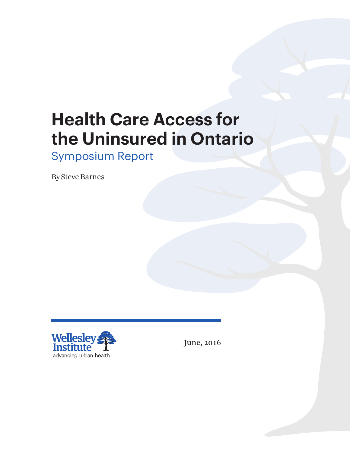# **Health Care Access for the Uninsured in Ontario**

## Symposium Report

By Steve Barnes



June, 2016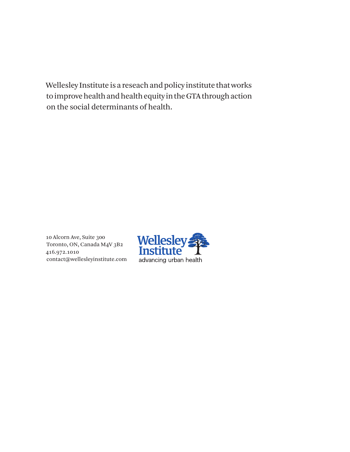Wellesley Institute is a reseach and policy institute that works to improve health and health equity in the GTA through action on the social determinants of health.

10 Alcorn Ave, Suite 300 Toronto, ON, Canada M4V 3B2 416.972.1010 contact@wellesleyinstitute.com

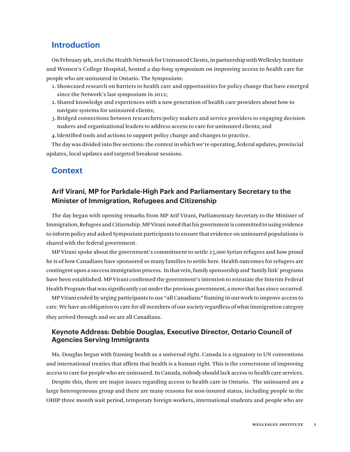## **Introduction**

On February 9th, 2016 the Health Network for Uninsured Clients, in partnership with Wellesley Institute and Women's College Hospital, hosted a day-long symposium on improving access to health care for people who are uninsured in Ontario. The Symposium:

- 1. Showcased research on barriers to health care and opportunities for policy change that have emerged since the Network's last symposium in 2012;
- 2. Shared knowledge and experiences with a new generation of health care providers about how to navigate systems for uninsured clients;
- 3.Bridged connections between researchers/policy makers and service providers to engaging decision makers and organizational leaders to address access to care for uninsured clients; and
- 4.Identified tools and actions to support policy change and changes to practice.

The day was divided into five sections: the context in which we're operating, federal updates, provincial updates, local updates and targeted breakout sessions.

## **Context**

## **Arif Virani, MP for Parkdale-High Park and Parliamentary Secretary to the Minister of Immigration, Refugees and Citizenship**

The day began with opening remarks from MP Arif Virani, Parliamentary Secretary to the Minister of Immigration, Refugees and Citizenship. MP Virani noted that his government is committed to using evidence to inform policy and asked Symposium participants to ensure that evidence on uninsured populations is shared with the federal government.

MP Virani spoke about the government's commitment to settle 25,000 Syrian refugees and how proud he is of how Canadians have sponsored so many families to settle here. Health outcomes for refugees are contingent upon a success immigration process. In that vein, family sponsorship and 'family link' programs have been established. MP Virani confirmed the government's intention to reinstate the Interim Federal Health Program that was significantly cut under the previous government, a move that has since occurred.

MP Virani ended by urging participants to use "all Canadians" framing in our work to improve access to care. We have an obligation to care for all members of our society regardless of what immigration category they arrived through and we are all Canadians.

#### **Keynote Address: Debbie Douglas, Executive Director, Ontario Council of Agencies Serving Immigrants**

Ms. Douglas began with framing health as a universal right. Canada is a signatory to UN conventions and international treaties that affirm that health is a human right. This is the cornerstone of improving access to care for people who are uninsured. In Canada, nobody should lack access to health care services.

Despite this, there are major issues regarding access to health care in Ontario. The uninsured are a large heterogeneous group and there are many reasons for non-insured status, including people in the OHIP three month wait period, temporary foreign workers, international students and people who are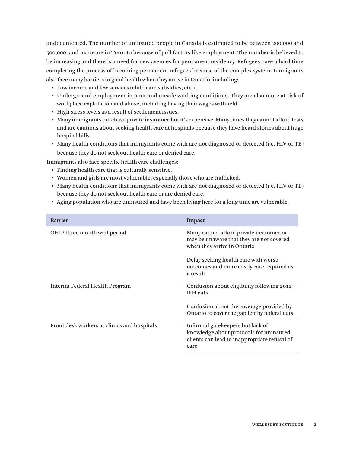undocumented. The number of uninsured people in Canada is estimated to be between 200,000 and 500,000, and many are in Toronto because of pull factors like employment. The number is believed to be increasing and there is a need for new avenues for permanent residency. Refugees have a hard time completing the process of becoming permanent refugees because of the complex system. Immigrants also face many barriers to good health when they arrive in Ontario, including:

- • Low income and few services (child care subsidies, etc.).
- • Underground employment in poor and unsafe working conditions. They are also more at risk of workplace explotation and abuse, including having their wages withheld.
- High stress levels as a result of settlement issues.
- • Many immigrants purchase private insurance but it's expensive. Many times they cannot afford tests and are cautious about seeking health care at hospitals becuase they have heard stories about huge hospital bills.
- • Many health conditions that immigrants come with are not diagnosed or detected (i.e. HIV or TB) because they do not seek out health care or denied care.

Immigrants also face specific health care challenges:

- • Finding health care that is culturally sensitive.
- • Women and girls are most vulnerable, especially those who are trafficked.
- • Many health conditions that immigrants come with are not diagnosed or detected (i.e. HIV or TB) because they do not seek out health care or are denied care.
- • Aging population who are uninsured and have been living here for a long time are vulnerable.

| <b>Barrier</b>                              | <b>Impact</b>                                                                                                                       |
|---------------------------------------------|-------------------------------------------------------------------------------------------------------------------------------------|
| OHIP three month wait period                | Many cannot afford private insurance or<br>may be unaware that they are not covered<br>when they arrive in Ontario                  |
|                                             | Delay seeking health care with worse<br>outcomes and more costly care required as<br>a result                                       |
| Interim Federal Health Program              | Confusion about eligibility following 2012<br><b>IFH</b> cuts                                                                       |
|                                             | Confusion about the coverage provided by<br>Ontario to cover the gap left by federal cuts                                           |
| Front desk workers at clinics and hospitals | Informal gatekeepers but lack of<br>knowledge about protocols for uninsured<br>clients can lead to inappropriate refusal of<br>care |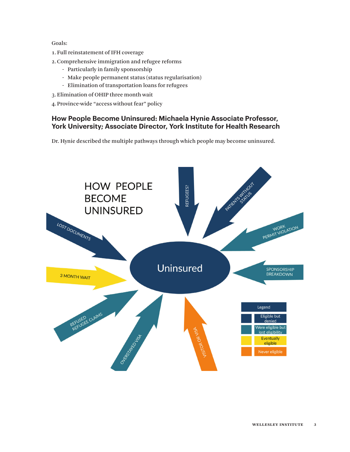Goals:

- 1. Full reinstatement of IFH coverage
- 2.Comprehensive immigration and refugee reforms
	- Particularly in family sponsorship
	- Make people permanent status (status regularisation)
	- Elimination of transportation loans for refugees
- 3.Elimination of OHIP three month wait
- 4.Province-wide "access without fear" policy

## **How People Become Uninsured: Michaela Hynie Associate Professor, York University; Associate Director, York Institute for Health Research**

Dr. Hynie described the multiple pathways through which people may become uninsured.

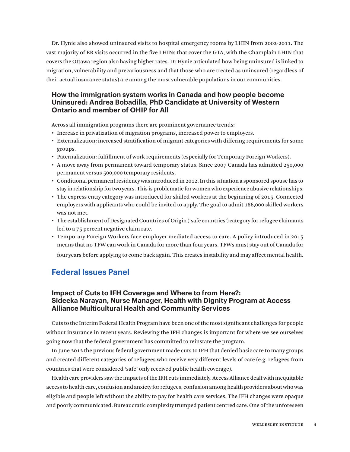Dr. Hynie also showed uninsured visits to hospital emergency rooms by LHIN from 2002-2011. The vast majority of ER visits occurred in the five LHINs that cover the GTA, with the Champlain LHIN that covers the Ottawa region also having higher rates. Dr Hynie articulated how being uninsured is linked to migration, vulnerability and precariousness and that those who are treated as uninsured (regardless of their actual insurance status) are among the most vulnerable populations in our communities.

## **How the immigration system works in Canada and how people become Uninsured: Andrea Bobadilla, PhD Candidate at University of Western Ontario and member of OHIP for All**

Across all immigration programs there are prominent governance trends:

- • Increase in privatization of migration programs, increased power to employers.
- • Externalization: increased stratification of migrant categories with differing requirements for some groups.
- • Paternalization: fulfillment of work requirements (especially for Temporary Foreign Workers).
- • A move away from permanent toward temporary status. Since 2007 Canada has admitted 250,000 permanent versus 500,000 temporary residents.
- • Conditional permanent residency was introduced in 2012. In this situation a sponsored spouse has to stay in relationship for two years. This is problematic for women who experience abusive relationships.
- • The express entry category was introduced for skilled workers at the beginning of 2015. Connected employers with applicants who could be invited to apply. The goal to admit 186,000 skilled workers was not met.
- • The establishment of Designated Countries of Origin ('safe countries') category for refugee claimants led to a 75 percent negative claim rate.
- • Temporary Foreign Workers face employer mediated access to care. A policy introduced in 2015 means that no TFW can work in Canada for more than four years. TFWs must stay out of Canada for

four years before applying to come back again. This creates instability and may affect mental health.

## **Federal Issues Panel**

## **Impact of Cuts to IFH Coverage and Where to from Here?: Sideeka Narayan, Nurse Manager, Health with Dignity Program at Access Alliance Multicultural Health and Community Services**

Cuts to the Interim Federal Health Program have been one of the most significant challenges for people without insurance in recent years. Reviewing the IFH changes is important for where we see ourselves going now that the federal government has committed to reinstate the program.

In June 2012 the previous federal government made cuts to IFH that denied basic care to many groups and created different categories of refugees who receive very different levels of care (e.g. refugees from countries that were considered 'safe' only received public health coverage).

Health care providers saw the impacts of the IFH cuts immediately. Access Alliance dealt with inequitable access to health care, confusion and anxiety for refugees, confusion among health providers about who was eligible and people left without the ability to pay for health care services. The IFH changes were opaque and poorly communicated. Bureaucratic complexity trumped patient centred care. One of the unforeseen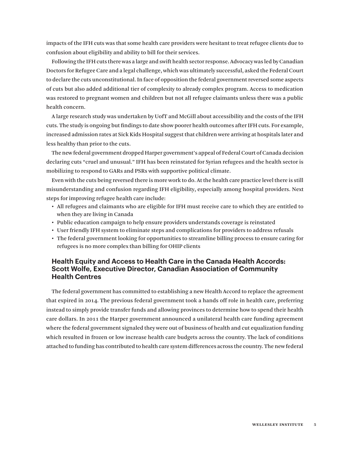impacts of the IFH cuts was that some health care providers were hesitant to treat refugee clients due to confusion about eligibility and ability to bill for their services.

Following the IFH cuts there was a large and swift health sector response. Advocacy was led by Canadian Doctors for Refugee Care and a legal challenge, which was ultimately successful, asked the Federal Court to declare the cuts unconstitutional. In face of opposition the federal government reversed some aspects of cuts but also added additional tier of complexity to already complex program. Access to medication was restored to pregnant women and children but not all refugee claimants unless there was a public health concern.

A large research study was undertaken by UofT and McGill about accessibility and the costs of the IFH cuts. The study is ongoing but findings to date show poorer health outcomes after IFH cuts. For example, increased admission rates at Sick Kids Hospital suggest that children were arriving at hospitals later and less healthy than prior to the cuts.

The new federal government dropped Harper government's appeal of Federal Court of Canada decision declaring cuts "cruel and unusual." IFH has been reinstated for Syrian refugees and the health sector is mobilizing to respond to GARs and PSRs with supportive political climate.

Even with the cuts being reversed there is more work to do. At the health care practice level there is still misunderstanding and confusion regarding IFH eligibility, especially among hospital providers. Next steps for improving refugee health care include:

- • All refugees and claimants who are eligible for IFH must receive care to which they are entitled to when they are living in Canada
- • Public education campaign to help ensure providers understands coverage is reinstated
- • User friendly IFH system to eliminate steps and complications for providers to address refusals
- • The federal government looking for opportunities to streamline billing process to ensure caring for refugees is no more complex than billing for OHIP clients

## **Health Equity and Access to Health Care in the Canada Health Accords: Scott Wolfe, Executive Director, Canadian Association of Community Health Centres**

The federal government has committed to establishing a new Health Accord to replace the agreement that expired in 2014. The previous federal government took a hands off role in health care, preferring instead to simply provide transfer funds and allowing provinces to determine how to spend their health care dollars. In 2011 the Harper government announced a unilateral health care funding agreement where the federal government signaled they were out of business of health and cut equalization funding which resulted in frozen or low increase health care budgets across the country. The lack of conditions attached to funding has contributed to health care system differences across the country. The new federal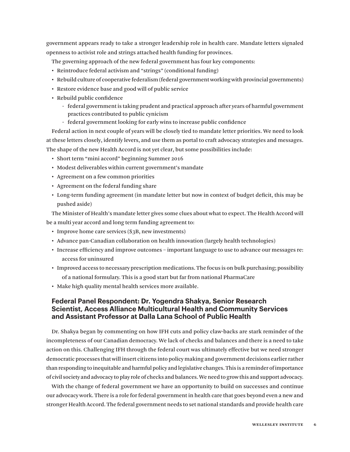government appears ready to take a stronger leadership role in health care. Mandate letters signaled openness to activist role and strings attached health funding for provinces.

The governing approach of the new federal government has four key components:

- Reintroduce federal activism and "strings" (conditional funding)
- • Rebuild culture of cooperative federalism (federal government working with provincial governments)
- • Restore evidence base and good will of public service
- • Rebuild public confidence
	- federal government is taking prudent and practical approach after years of harmful government practices contributed to public cynicism
	- federal government looking for early wins to increase public confidence

Federal action in next couple of years will be closely tied to mandate letter priorities. We need to look at these letters closely, identify levers, and use them as portal to craft advocacy strategies and messages. The shape of the new Health Accord is not yet clear, but some possibilities include:

- Short term "mini accord" beginning Summer 2016
- • Modest deliverables within current government's mandate
- • Agreement on a few common priorities
- Agreement on the federal funding share
- • Long-term funding agreement (in mandate letter but now in context of budget deficit, this may be pushed aside)

The Minister of Health's mandate letter gives some clues about what to expect. The Health Accord will be a multi year accord and long term funding agreement to:

- Improve home care services (\$3B, new investments)
- • Advance pan-Canadian collaboration on health innovation (largely health technologies)
- • Increase efficiency and improve outcomes important language to use to advance our messages re: access for uninsured
- • Improved access to necessary prescription medications. The focus is on bulk purchasing; possibility of a national formulary. This is a good start but far from national PharmaCare
- Make high quality mental health services more available.

## **Federal Panel Respondent: Dr. Yogendra Shakya, Senior Research Scientist, Access Alliance Multicultural Health and Community Services and Assistant Professor at Dalla Lana School of Public Health**

Dr. Shakya began by commenting on how IFH cuts and policy claw-backs are stark reminder of the incompleteness of our Canadian democracy. We lack of checks and balances and there is a need to take action on this. Challenging IFH through the federal court was ultimately effective but we need stronger democratic processes that will insert citizens into policy making and government decisions earlier rather than responding to inequitable and harmful policy and legislative changes. This is a reminder of importance of civil society and advocacy to play role of checks and balances. We need to grow this and support advocacy.

With the change of federal government we have an opportunity to build on successes and continue our advocacy work. There is a role for federal government in health care that goes beyond even a new and stronger Health Accord. The federal government needs to set national standards and provide health care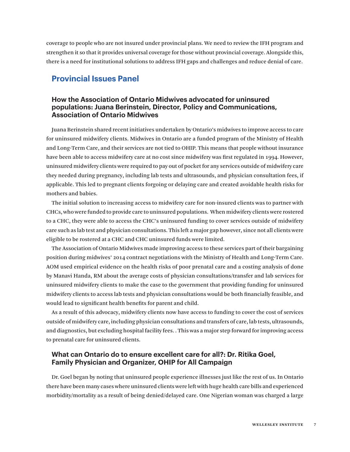coverage to people who are not insured under provincial plans. We need to review the IFH program and strengthen it so that it provides universal coverage for those without provincial coverage. Alongside this, there is a need for institutional solutions to address IFH gaps and challenges and reduce denial of care.

## **Provincial Issues Panel**

## **How the Association of Ontario Midwives advocated for uninsured populations: Juana Berinstein, Director, Policy and Communications, Association of Ontario Midwives**

Juana Berinstein shared recent initiatives undertaken by Ontario's midwives to improve access to care for uninsured midwifery clients. Midwives in Ontario are a funded program of the Ministry of Health and Long-Term Care, and their services are not tied to OHIP. This means that people without insurance have been able to access midwifery care at no cost since midwifery was first regulated in 1994. However, uninsured midwifery clients were required to pay out of pocket for any services outside of midwifery care they needed during pregnancy, including lab tests and ultrasounds, and physician consultation fees, if applicable. This led to pregnant clients forgoing or delaying care and created avoidable health risks for mothers and babies.

The initial solution to increasing access to midwifery care for non-insured clients was to partner with CHCs, who were funded to provide care to uninsured populations. When midwifery clients were rostered to a CHC, they were able to access the CHC's uninsured funding to cover services outside of midwifery care such as lab test and physician consultations. This left a major gap however, since not all clients were eligible to be rostered at a CHC and CHC uninsured funds were limited.

The Association of Ontario Midwives made improving access to these services part of their bargaining position during midwives' 2014 contract negotiations with the Ministry of Health and Long-Term Care. AOM used empirical evidence on the health risks of poor prenatal care and a costing analysis of done by Manavi Handa, RM about the average costs of physician consultations/transfer and lab services for uninsured midwifery clients to make the case to the government that providing funding for uninsured midwifery clients to access lab tests and physician consultations would be both financially feasible, and would lead to significant health benefits for parent and child.

As a result of this advocacy, midwifery clients now have access to funding to cover the cost of services outside of midwifery care, including physician consultations and transfers of care, lab tests, ultrasounds, and diagnostics, but excluding hospital facility fees. . This was a major step forward for improving access to prenatal care for uninsured clients.

## **What can Ontario do to ensure excellent care for all?: Dr. Ritika Goel, Family Physician and Organizer, OHIP for All Campaign**

Dr. Goel began by noting that uninsured people experience illnesses just like the rest of us. In Ontario there have been many cases where uninsured clients were left with huge health care bills and experienced morbidity/mortality as a result of being denied/delayed care. One Nigerian woman was charged a large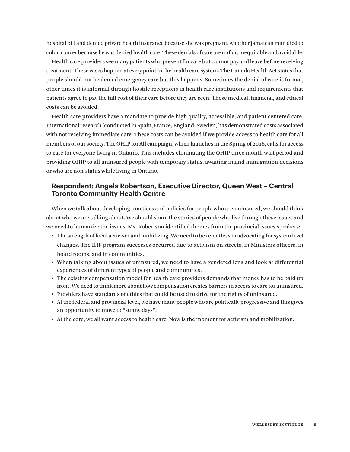hospital bill and denied private health insurance because she was pregnant. Another Jamaican man died to colon cancer because he was denied health care. These denials of care are unfair, inequitable and avoidable.

Health care providers see many patients who present for care but cannot pay and leave before receiving treatment. These cases happen at every point in the health care system. The Canada Health Act states that people should not be denied emergency care but this happens. Sometimes the denial of care is formal, other times it is informal through hostile receptions in health care institutions and requirements that patients agree to pay the full cost of their care before they are seen. These medical, financial, and ethical costs can be avoided.

Health care providers have a mandate to provide high quality, accessible, and patient centered care. International research (conducted in Spain, France, England, Sweden) has demonstrated costs associated with not receiving immediate care. These costs can be avoided if we provide access to health care for all members of our society. The OHIP for All campaign, which launches in the Spring of 2016, calls for access to care for everyone living in Ontario. This includes eliminating the OHIP three month wait period and providing OHIP to all uninsured people with temporary status, awaiting inland immigration decisions or who are non-status while living in Ontario.

#### **Respondent: Angela Robertson, Executive Director, Queen West – Central Toronto Community Health Centre**

When we talk about developing practices and policies for people who are uninsured, we should think about who we are talking about. We should share the stories of people who live through these issues and we need to humanize the issues. Ms. Robertson identified themes from the provincial issues speakers:

- • The strength of local activism and mobilizing. We need to be relentless in advocating for system level changes. The IHF program successes occurred due to activism on streets, in Ministers officers, in board rooms, and in communities.
- • When talking about issues of uninsured, we need to have a gendered lens and look at differential experiences of different types of people and communities.
- • The existing compensation model for health care providers demands that money has to be paid up front. We need to think more about how compensation creates barriers in access to care for uninsured.
- • Providers have standards of ethics that could be used to drive for the rights of uninsured.
- • At the federal and provincial level, we have many people who are politically progressive and this gives an opportunity to move to "sunny days".
- • At the core, we all want access to health care. Now is the moment for activism and mobilization.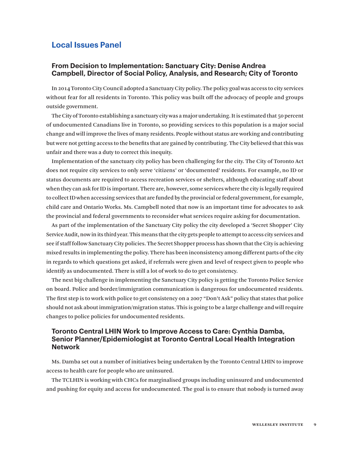## **Local Issues Panel**

#### **From Decision to Implementation: Sanctuary City: Denise Andrea Campbell, Director of Social Policy, Analysis, and Research; City of Toronto**

In 2014 Toronto City Council adopted a Sanctuary City policy. The policy goal was access to city services without fear for all residents in Toronto. This policy was built off the advocacy of people and groups outside government.

The City of Toronto establishing a sanctuary city was a major undertaking. It is estimated that 50 percent of undocumented Canadians live in Toronto, so providing services to this population is a major social change and will improve the lives of many residents. People without status are working and contributing but were not getting access to the benefits that are gained by contributing. The City believed that this was unfair and there was a duty to correct this inequity.

Implementation of the sanctuary city policy has been challenging for the city. The City of Toronto Act does not require city services to only serve 'citizens' or 'documented' residents. For example, no ID or status documents are required to access recreation services or shelters, although educating staff about when they can ask for ID is important. There are, however, some services where the city is legally required to collect ID when accessing services that are funded by the provincial or federal government, for example, child care and Ontario Works. Ms. Campbell noted that now is an important time for advocates to ask the provincial and federal governments to reconsider what services require asking for documentation.

As part of the implementation of the Sanctuary City policy the city developed a 'Secret Shopper' City Service Audit, now in its third year. This means that the city gets people to attempt to access city services and see if staff follow Sanctuary City policies. The Secret Shopper process has shown that the City is achieving mixed results in implementing the policy. There has been inconsistency among different parts of the city in regards to which questions get asked, if referrals were given and level of respect given to people who identify as undocumented. There is still a lot of work to do to get consistency.

The next big challenge in implementing the Sanctuary City policy is getting the Toronto Police Service on board. Police and border/immigration communication is dangerous for undocumented residents. The first step is to work with police to get consistency on a 2007 "Don't Ask" policy that states that police should not ask about immigration/migration status. This is going to be a large challenge and will require changes to police policies for undocumented residents.

#### **Toronto Central LHIN Work to Improve Access to Care: Cynthia Damba, Senior Planner/Epidemiologist at Toronto Central Local Health Integration Network**

Ms. Damba set out a number of initiatives being undertaken by the Toronto Central LHIN to improve access to health care for people who are uninsured.

The TCLHIN is working with CHCs for marginalised groups including uninsured and undocumented and pushing for equity and access for undocumented. The goal is to ensure that nobody is turned away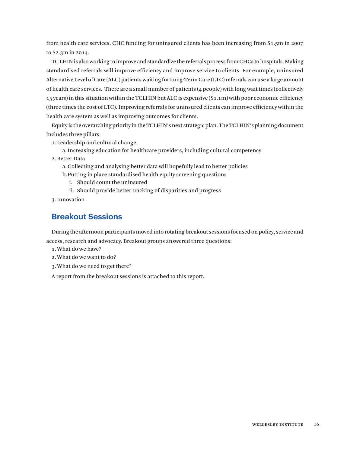from health care services. CHC funding for uninsured clients has been increasing from \$1.5m in 2007 to \$2.3m in 2014.

TC LHIN is also working to improve and standardize the referrals process from CHCs to hospitals. Making standardised referrals will improve efficiency and improve service to clients. For example, uninsured Alternative Level of Care (ALC) patients waiting for Long-Term Care (LTC) referrals can use a large amount of health care services. There are a small number of patients (4 people) with long wait times (collectively 15 years) in this situation within the TCLHIN but ALC is expensive (\$1.1m) with poor economic efficiency (three times the cost of LTC). Improving referrals for uninsured clients can improve efficiency within the health care system as well as improving outcomes for clients.

Equity is the overarching priority in the TCLHIN's next strategic plan. The TCLHIN's planning document includes three pillars:

1.Leadership and cultural change

a.Increasing education for healthcare providers, including cultural competency

2.Better Data

a.Collecting and analysing better data will hopefully lead to better policies

b.Putting in place standardised health equity screening questions

i. Should count the uninsured

ii. Should provide better tracking of disparities and progress

3.Innovation

## **Breakout Sessions**

During the afternoon participants moved into rotating breakout sessions focused on policy, service and access, research and advocacy. Breakout groups answered three questions:

1.What do we have?

2.What do we want to do?

3.What do we need to get there?

A report from the breakout sessions is attached to this report.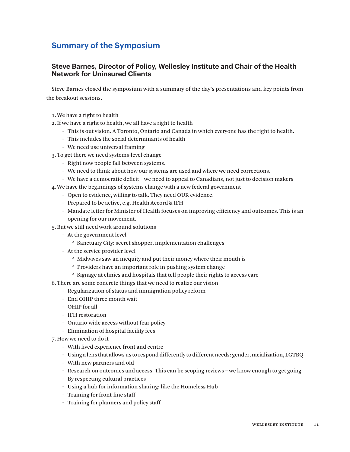## **Summary of the Symposium**

## **Steve Barnes, Director of Policy, Wellesley Institute and Chair of the Health Network for Uninsured Clients**

Steve Barnes closed the symposium with a summary of the day's presentations and key points from the breakout sessions.

- 1.We have a right to health
- 2.If we have a right to health, we all have a right to health
	- This is out vision. A Toronto, Ontario and Canada in which everyone has the right to health.
	- This includes the social determinants of health
	- We need use universal framing
- 3.To get there we need systems-level change
	- Right now people fall between systems.
	- We need to think about how our systems are used and where we need corrections.
	- We have a democratic deficit we need to appeal to Canadians, not just to decision makers
- 4.We have the beginnings of systems change with a new federal government
	- Open to evidence, willing to talk. They need OUR evidence.
	- Prepared to be active, e.g. Health Accord & IFH
	- Mandate letter for Minister of Health focuses on improving efficiency and outcomes. This is an opening for our movement.
- 5.But we still need work-around solutions
	- At the government level
		- \* Sanctuary City: secret shopper, implementation challenges
	- At the service provider level
		- \* Midwives saw an inequity and put their money where their mouth is
		- \* Providers have an important role in pushing system change
		- \* Signage at clinics and hospitals that tell people their rights to access care
- 6.There are some concrete things that we need to realize our vision
	- Regularization of status and immigration policy reform
	- End OHIP three month wait
	- OHIP for all
	- IFH restoration
	- Ontario-wide access without fear policy
	- Elimination of hospital facility fees
- 7.How we need to do it
	- With lived experience front and centre
	- Using a lens that allows us to respond differently to different needs: gender, racialization, LGTBQ
	- With new partners and old
	- Research on outcomes and access. This can be scoping reviews we know enough to get going
	- By respecting cultural practices
	- Using a hub for information sharing: like the Homeless Hub
	- Training for front-line staff
	- Training for planners and policy staff